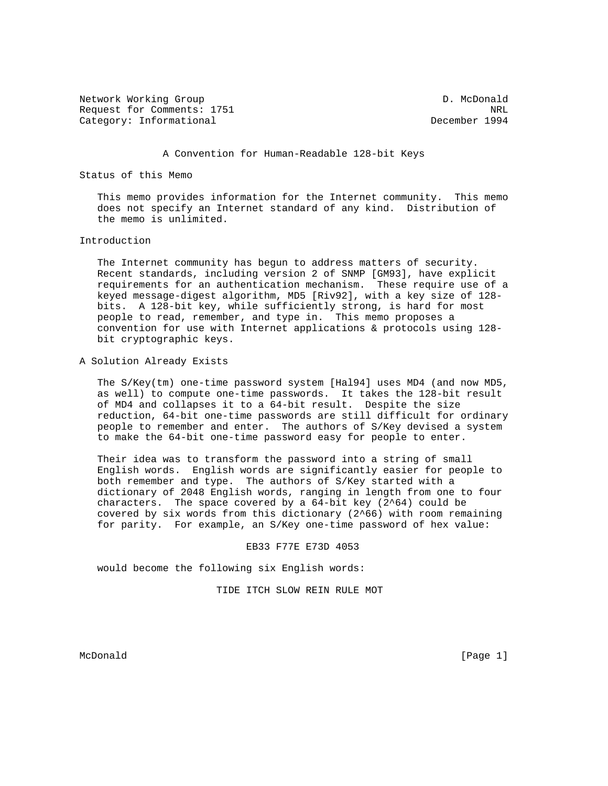Network Working Group D. McDonald Request for Comments: 1751 NRL Category: Informational December 1994

### A Convention for Human-Readable 128-bit Keys

# Status of this Memo

 This memo provides information for the Internet community. This memo does not specify an Internet standard of any kind. Distribution of the memo is unlimited.

# Introduction

 The Internet community has begun to address matters of security. Recent standards, including version 2 of SNMP [GM93], have explicit requirements for an authentication mechanism. These require use of a keyed message-digest algorithm, MD5 [Riv92], with a key size of 128 bits. A 128-bit key, while sufficiently strong, is hard for most people to read, remember, and type in. This memo proposes a convention for use with Internet applications & protocols using 128 bit cryptographic keys.

## A Solution Already Exists

 The S/Key(tm) one-time password system [Hal94] uses MD4 (and now MD5, as well) to compute one-time passwords. It takes the 128-bit result of MD4 and collapses it to a 64-bit result. Despite the size reduction, 64-bit one-time passwords are still difficult for ordinary people to remember and enter. The authors of S/Key devised a system to make the 64-bit one-time password easy for people to enter.

 Their idea was to transform the password into a string of small English words. English words are significantly easier for people to both remember and type. The authors of S/Key started with a dictionary of 2048 English words, ranging in length from one to four characters. The space covered by a  $64$ -bit key  $(2^64)$  could be covered by six words from this dictionary (2^66) with room remaining for parity. For example, an S/Key one-time password of hex value:

#### EB33 F77E E73D 4053

would become the following six English words:

TIDE ITCH SLOW REIN RULE MOT

McDonald [Page 1]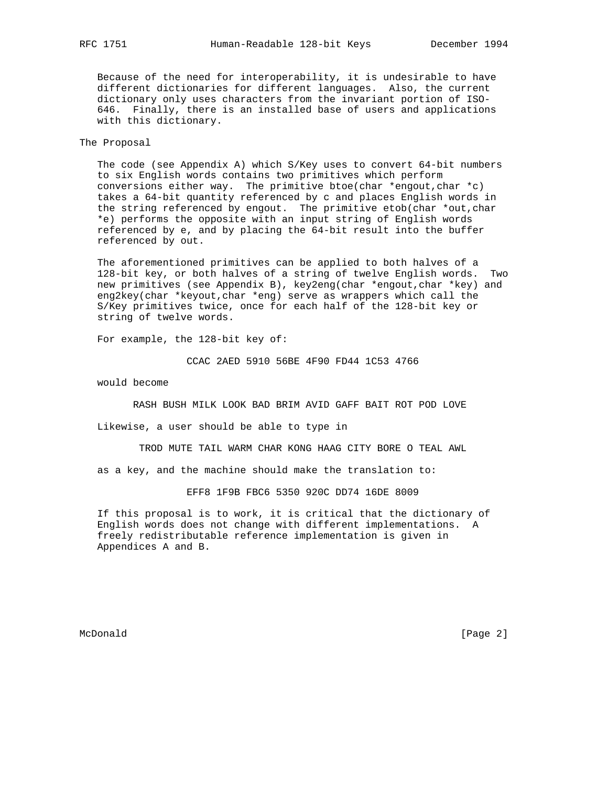Because of the need for interoperability, it is undesirable to have different dictionaries for different languages. Also, the current dictionary only uses characters from the invariant portion of ISO- 646. Finally, there is an installed base of users and applications with this dictionary.

## The Proposal

 The code (see Appendix A) which S/Key uses to convert 64-bit numbers to six English words contains two primitives which perform conversions either way. The primitive btoe(char \*engout, char \*c) takes a 64-bit quantity referenced by c and places English words in the string referenced by engout. The primitive etob(char \*out,char \*e) performs the opposite with an input string of English words referenced by e, and by placing the 64-bit result into the buffer referenced by out.

 The aforementioned primitives can be applied to both halves of a 128-bit key, or both halves of a string of twelve English words. Two new primitives (see Appendix B), key2eng(char \*engout,char \*key) and eng2key(char \*keyout,char \*eng) serve as wrappers which call the S/Key primitives twice, once for each half of the 128-bit key or string of twelve words.

For example, the 128-bit key of:

CCAC 2AED 5910 56BE 4F90 FD44 1C53 4766

would become

RASH BUSH MILK LOOK BAD BRIM AVID GAFF BAIT ROT POD LOVE

Likewise, a user should be able to type in

TROD MUTE TAIL WARM CHAR KONG HAAG CITY BORE O TEAL AWL

as a key, and the machine should make the translation to:

EFF8 1F9B FBC6 5350 920C DD74 16DE 8009

 If this proposal is to work, it is critical that the dictionary of English words does not change with different implementations. A freely redistributable reference implementation is given in Appendices A and B.

McDonald [Page 2]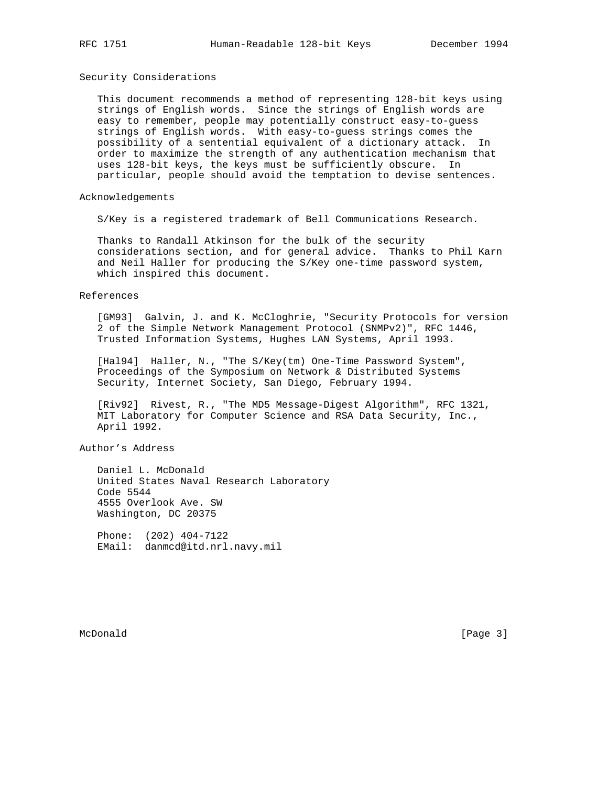## Security Considerations

 This document recommends a method of representing 128-bit keys using strings of English words. Since the strings of English words are easy to remember, people may potentially construct easy-to-guess strings of English words. With easy-to-guess strings comes the possibility of a sentential equivalent of a dictionary attack. In order to maximize the strength of any authentication mechanism that uses 128-bit keys, the keys must be sufficiently obscure. In particular, people should avoid the temptation to devise sentences.

## Acknowledgements

S/Key is a registered trademark of Bell Communications Research.

 Thanks to Randall Atkinson for the bulk of the security considerations section, and for general advice. Thanks to Phil Karn and Neil Haller for producing the S/Key one-time password system, which inspired this document.

#### References

 [GM93] Galvin, J. and K. McCloghrie, "Security Protocols for version 2 of the Simple Network Management Protocol (SNMPv2)", RFC 1446, Trusted Information Systems, Hughes LAN Systems, April 1993.

[Hal94] Haller, N., "The S/Key(tm) One-Time Password System", Proceedings of the Symposium on Network & Distributed Systems Security, Internet Society, San Diego, February 1994.

 [Riv92] Rivest, R., "The MD5 Message-Digest Algorithm", RFC 1321, MIT Laboratory for Computer Science and RSA Data Security, Inc., April 1992.

Author's Address

 Daniel L. McDonald United States Naval Research Laboratory Code 5544 4555 Overlook Ave. SW Washington, DC 20375

 Phone: (202) 404-7122 EMail: danmcd@itd.nrl.navy.mil

McDonald [Page 3]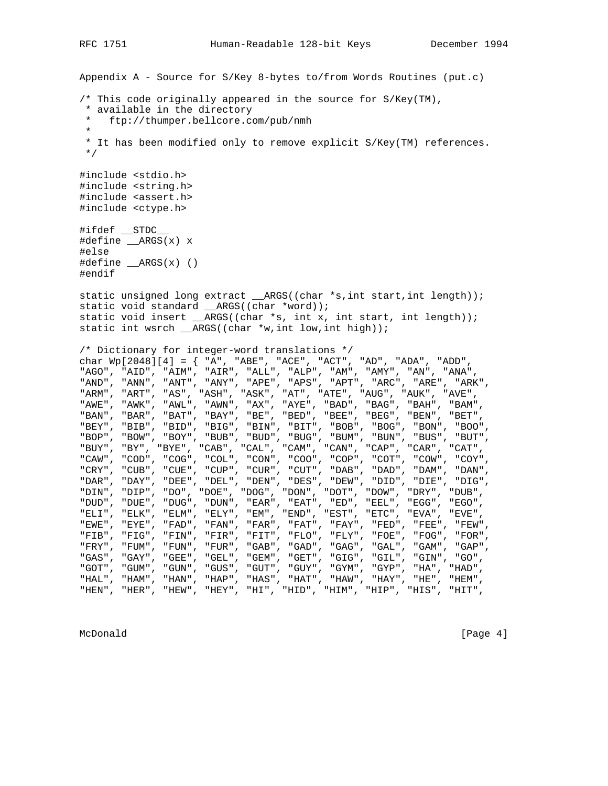Appendix A - Source for S/Key 8-bytes to/from Words Routines (put.c) /\* This code originally appeared in the source for S/Key(TM), \* available in the directory \* ftp://thumper.bellcore.com/pub/nmh \* \* It has been modified only to remove explicit S/Key(TM) references. \*/ #include <stdio.h> #include <string.h> #include <assert.h> #include <ctype.h> #ifdef \_\_STDC\_\_ #define \_\_ARGS(x) x #else #define \_\_ARGS(x) () #endif static unsigned long extract \_\_ARGS((char \*s,int start,int length)); static void standard ARGS((char \*word)); static void insert \_\_ARGS((char \*s, int x, int start, int length)); static int wsrch \_\_ARGS((char \*w,int low,int high)); /\* Dictionary for integer-word translations \*/ char Wp[2048][4] = { "A", "ABE", "ACE", "ACT", "AD", "ADA", "ADD", "AGO", "AID", "AIM", "AIR", "ALL", "ALP", "AM", "AMY", "AN", "ANA", "AND", "ANN", "ANT", "ANY", "APE", "APS", "APT", "ARC", "ARE", "ARK", "ARM", "ART", "AS", "ASH", "ASK", "AT", "ATE", "AUG", "AUK", "AVE", "AWE", "AWK", "AWL", "AWN", "AX", "AYE", "BAD", "BAG", "BAH", "BAM", "BAN", "BAR", "BAT", "BAY", "BE", "BED", "BEE", "BEG", "BEN", "BET", "BEY", "BIB", "BID", "BIG", "BIN", "BIT", "BOB", "BOG", "BON", "BOO", "BOP", "BOW", "BOY", "BUB", "BUD", "BUG", "BUM", "BUN", "BUS", "BUT", "BUY", "BY", "BYE", "CAB", "CAL", "CAM", "CAN", "CAP", "CAR", "CAT", "CAW", "COD", "COG", "COL", "CON", "COO", "COP", "COT", "COW", "COY", "CRY", "CUB", "CUE", "CUP", "CUR", "CUT", "DAB", "DAD", "DAM", "DAN", "DAR", "DAY", "DEE", "DEL", "DEN", "DES", "DEW", "DID", "DIE", "DIG", "DIN", "DIP", "DO", "DOE", "DOG", "DON", "DOT", "DOW", "DRY", "DUB", "DUD", "DUE", "DUG", "DUN", "EAR", "EAT", "ED", "EEL", "EGG", "EGO", "ELI", "ELK", "ELM", "ELY", "EM", "END", "EST", "ETC", "EVA", "EVE", "EWE", "EYE", "FAD", "FAN", "FAR", "FAT", "FAY", "FED", "FEE", "FEW", "FIB", "FIG", "FIN", "FIR", "FIT", "FLO", "FLY", "FOE", "FOG", "FOR", "FRY", "FUM", "FUN", "FUR", "GAB", "GAD", "GAG", "GAL", "GAM", "GAP", "GAS", "GAY", "GEE", "GEL", "GEM", "GET", "GIG", "GIL", "GIN", "GO", "GOT", "GUM", "GUN", "GUS", "GUT", "GUY", "GYM", "GYP", "HA", "HAD", "HAL", "HAM", "HAN", "HAP", "HAS", "HAT", "HAW", "HAY", "HE", "HEM", "HEN", "HER", "HEW", "HEY", "HI", "HID", "HIM", "HIP", "HIS", "HIT",

McDonald [Page 4]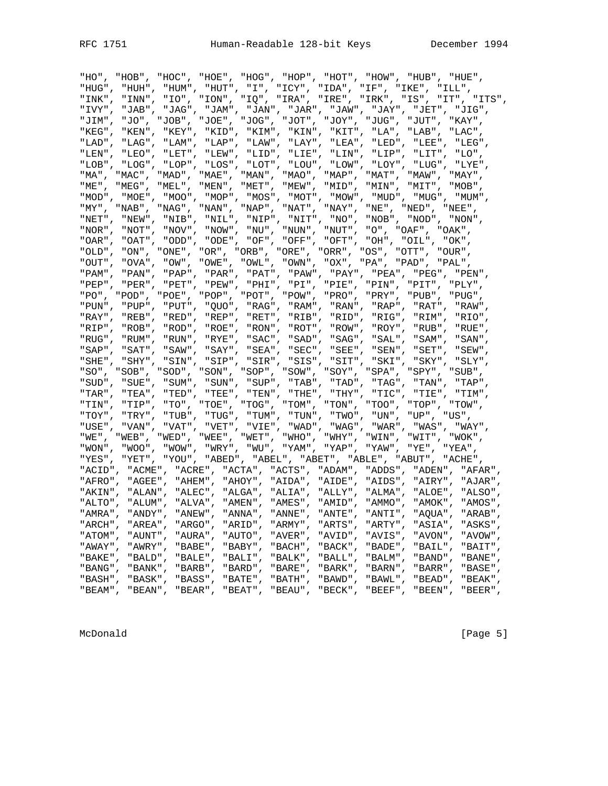| "HO" ,     |                                                                      |         |                      |         |                         |                                                               |         |            | "HOB", "HOC", "HOE", "HOG", "HOP", "HOT", "HOW", "HUB", "HUE",           |
|------------|----------------------------------------------------------------------|---------|----------------------|---------|-------------------------|---------------------------------------------------------------|---------|------------|--------------------------------------------------------------------------|
|            | "HUG", "HUH", "HUM", "HUT", "I", "ICY", "IDA", "IF", "IKE", "ILL",   |         |                      |         |                         |                                                               |         |            |                                                                          |
|            |                                                                      |         |                      |         |                         |                                                               |         |            | "INK", "INN", "IO", "ION", "IQ", "IRA", "IRE", "IRK", "IS", "IT", "ITS", |
|            |                                                                      |         |                      |         |                         |                                                               |         |            | "IVY", "JAB", "JAG", "JAM", "JAN", "JAR", "JAW", "JAY", "JET", "JIG",    |
| "JIM",     |                                                                      |         |                      |         |                         |                                                               |         |            | "JO", "JOB", "JOE", "JOG", "JOT", "JOY", "JUG", "JUT", "KAY",            |
| "KEG",     |                                                                      |         |                      |         |                         |                                                               |         |            | "KEN", "KEY", "KID", "KIM", "KIN", "KIT", "LA", "LAB", "LAC",            |
| "LAD",     | "LAG",                                                               |         | "LAM", "LAP", "LAW", |         |                         |                                                               |         |            | "LAY", "LEA", "LED", "LEE", "LEG",                                       |
| " $LEN"$ , | "LEO",                                                               |         | "LET", "LEW", "LID", |         |                         |                                                               |         |            | "LIE", "LIN", "LIP", "LIT", "LO",                                        |
|            |                                                                      |         |                      |         |                         |                                                               |         |            | "LOB", "LOG", "LOP", "LOS", "LOT", "LOU", "LOW", "LOY", "LUG", "LYE",    |
|            |                                                                      |         |                      |         |                         |                                                               |         |            | "MA", "MAC", "MAD", "MAE", "MAN", "MAO", "MAP", "MAT", "MAW", "MAY",     |
|            |                                                                      |         |                      |         |                         |                                                               |         |            | "ME", "MEG", "MEL", "MEN", "MET", "MEW", "MID", "MIN", "MIT", "MOB",     |
|            |                                                                      |         |                      |         |                         |                                                               |         |            | "MOD", "MOE", "MOO", "MOP", "MOS", "MOT", "MOW", "MUD", "MUG", "MUM",    |
| "MY",      |                                                                      |         |                      |         |                         | "NAB", "NAG", "NAN", "NAP", "NAT", "NAY", "NE", "NED", "NEE", |         |            |                                                                          |
|            | "NET", "NEW", "NIB", "NIL", "NIP", "NIT", "NO", "NOB", "NOD", "NON", |         |                      |         |                         |                                                               |         |            |                                                                          |
|            | "NOR", "NOT", "NOV", "NOW", "NU", "NUN", "NUT", "O", "OAF", "OAK",   |         |                      |         |                         |                                                               |         |            |                                                                          |
|            | "OAR", "OAT", "ODD", "ODE", "OF", "OFF", "OFT", "OH", "OIL", "OK",   |         |                      |         |                         |                                                               |         |            |                                                                          |
| "OLD",     |                                                                      |         |                      |         |                         | "ON", "ONE", "OR", "ORB", "ORE", "ORR", "OS", "OTT", "OUR",   |         |            |                                                                          |
|            | "OUT", "OVA", "OW", "OWE", "OWL", "OWN", "OX", "PA", "PAD", "PAL",   |         |                      |         |                         |                                                               |         |            |                                                                          |
| "PAM",     |                                                                      |         |                      |         |                         |                                                               |         |            | "PAN", "PAP", "PAR", "PAT", "PAW", "PAY", "PEA", "PEG", "PEN",           |
| $"PEP"$ ,  |                                                                      |         |                      |         |                         |                                                               |         |            | "PER", "PET", "PEW", "PHI", "PI", "PIE", "PIN", "PIT", "PLY",            |
|            |                                                                      |         |                      |         |                         |                                                               |         |            | "PO", "POD", "POE", "POP", "POT", "POW", "PRO", "PRY", "PUB", "PUG",     |
|            |                                                                      |         |                      |         |                         |                                                               |         |            | "PUN", "PUP", "PUT", "QUO", "RAG", "RAM", "RAN", "RAP", "RAT", "RAW",    |
|            |                                                                      |         |                      |         |                         |                                                               |         |            | "RAY", "REB", "RED", "REP", "RET", "RIB", "RID", "RIG", "RIM", "RIO",    |
| "RIP",     | "ROB",                                                               |         | "ROD", "ROE",        | "RON",  |                         | "ROT", "ROW", "ROY", "RUB",                                   |         |            | "RUE",                                                                   |
| "RUG",     | "RUM",                                                               |         | "RUN", "RYE", "SAC", |         |                         | "SAD", "SAG", "SAL", "SAM",                                   |         |            | "SAN",                                                                   |
| "SAP",     | "SAT",                                                               |         |                      |         |                         | "SAW", "SAY", "SEA", "SEC", "SEE", "SEN", "SET",              |         |            | "SEW",                                                                   |
|            | "SHE", "SHY", "SIN", "SIP", "SIR", "SIS", "SIT", "SKI", "SKY",       |         |                      |         |                         |                                                               |         |            | "SLY",                                                                   |
|            |                                                                      |         |                      |         |                         |                                                               |         |            | "SO", "SOB", "SOD", "SON", "SOP", "SOW", "SOY", "SPA", "SPY", "SUB",     |
|            |                                                                      |         |                      |         |                         |                                                               |         |            | "SUD", "SUE", "SUM", "SUN", "SUP", "TAB", "TAD", "TAG", "TAN", "TAP",    |
| "TAR",     | "TEA",                                                               |         |                      |         |                         |                                                               |         |            | "TED", "TEE", "TEN", "THE", "THY", "TIC", "TIE", "TIM",                  |
| "TIN",     | "TIP",                                                               |         |                      |         |                         |                                                               |         |            | "TO", "TOE", "TOG", "TOM", "TON", "TOO", "TOP", "TOW",                   |
| "TOY",     | "TRY",                                                               |         |                      |         |                         | "TUB", "TUG", "TUM", "TUN", "TWO", "UN", "UP", "US",          |         |            |                                                                          |
| "USE",     |                                                                      |         |                      |         |                         |                                                               |         |            | "VAN", "VAT", "VET", "VIE", "WAD", "WAG", "WAR", "WAS", "WAY",           |
|            |                                                                      |         |                      |         |                         |                                                               |         |            | "WE", "WEB", "WED", "WEE", "WET", "WHO", "WHY", "WIN", "WIT", "WOK",     |
|            | "WON", "WOO", "WOW", "WRY", "WU", "YAM", "YAP", "YAW", "YE", "YEA",  |         |                      |         |                         |                                                               |         |            |                                                                          |
|            | "YES", "YET", "YOU", "ABED", "ABEL", "ABET", "ABLE", "ABUT", "ACHE", |         |                      |         |                         |                                                               |         |            |                                                                          |
|            |                                                                      |         |                      |         |                         |                                                               |         |            | "ACID", "ACME", "ACRE", "ACTA", "ACTS", "ADAM", "ADDS", "ADEN", "AFAR",  |
| "AFRO",    |                                                                      |         |                      |         |                         |                                                               |         |            | "AGEE", "AHEM", "AHOY", "AIDA", "AIDE", "AIDS", "AIRY", "AJAR",          |
|            |                                                                      |         |                      |         |                         |                                                               |         |            | "AKIN", "ALAN", "ALEC", "ALGA", "ALIA", "ALLY", "ALMA", "ALOE", "ALSO",  |
|            |                                                                      |         |                      |         |                         |                                                               |         |            | "ALTO", "ALUM", "ALVA", "AMEN", "AMES", "AMID", "AMMO", "AMOK", "AMOS",  |
| "AMRA",    | "ANDY",                                                              |         |                      |         | "ANEW", "ANNA", "ANNE", | "ANTE", "ANTI", "AQUA",                                       |         |            | "ARAB"                                                                   |
| "ARCH",    | "AREA",                                                              |         | "ARGO",              | "ARID", | "ARMY",                 | "ARTS",                                                       | "ARTY", | "ASIA",    | "ASKS",                                                                  |
| "ATOM",    | "AUNT",                                                              | "AURA", |                      | "AUTO", | "AVER",                 | "AVID",                                                       | "AVIS", | "AVON",    | "AVOW",                                                                  |
| "AWAY",    | "AWRY",                                                              | "BABE", |                      | "BABY", | "BACH",                 | "BACK",                                                       | "BADE", | "BAIL",    | "BAIT",                                                                  |
| "BAKE",    | "BALD",                                                              | "BALE", |                      | "BALI", | "BALK",                 | "BALL",                                                       | "BALM", | "BAND",    | "BANE",                                                                  |
| "BANG",    | "BANK",                                                              | "BARB", |                      | "BARD", | "BARE",                 | "BARK",                                                       | "BARN", | "BARR",    | "BASE",                                                                  |
| "BASH",    | "BASK",                                                              | "BASS", |                      | "BATE", | "BATH",                 | "BAWD",                                                       | "BAWL", | $"BEAD"$ , | "BEAK",                                                                  |
| $"BEAM"$ , | "BEAN",                                                              | "BEAR", |                      | "BEAT", | "BEAU",                 | "BECK",                                                       | "BEEF", | "BEEN",    | "BEER",                                                                  |

McDonald [Page 5]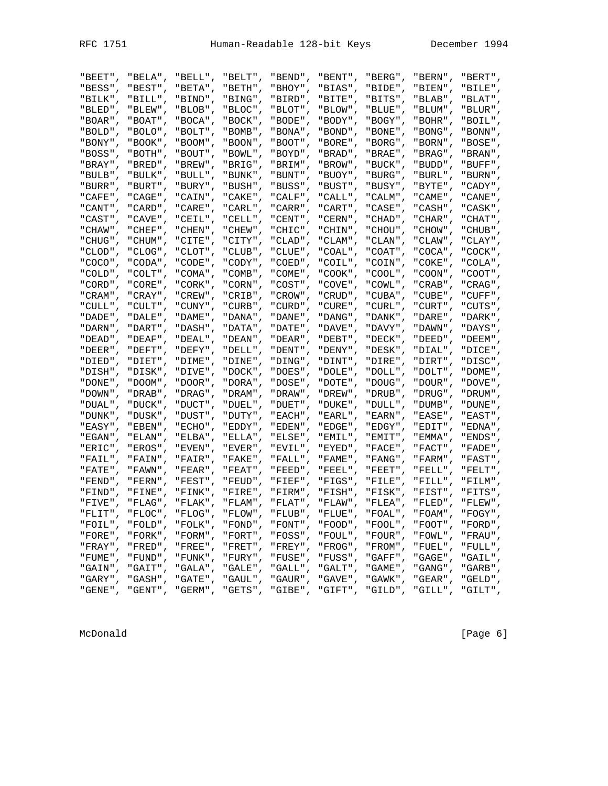McDonald

| "BEET",    | "BELA",    | "BELL",    | "BELT",    | "BEND",    | "BENT",    | "BERG",    | $"BERN"$ , | "BERT",    |
|------------|------------|------------|------------|------------|------------|------------|------------|------------|
| "BESS",    | "BEST",    | "BETA",    | "BETH",    | "BHOY",    | "BIAS",    | "BIDE",    | "BIEN",    | "BILE",    |
| "BILK",    | "BILL",    | "BIND",    | "BING",    | "BIRD",    | "BITE",    | "BITS",    | "BLAB",    | "BLAT",    |
| "BLED",    | "BLEW",    | "BLOB",    | "BLOC",    | "BLOT",    | "BLOW",    | "BLUE",    | "BLUM",    | "BLUR",    |
| "BOAR",    | "BOAT",    | "BOCA",    | "BOCK",    | "BODE",    | "BODY",    | "BOGY",    | "BOHR",    | "BOIL",    |
| " BOLD " 」 | "BOLO",    | "BOLT",    | "BOMB",    | , "BONA" " | , "BOND" " | "BONE",    | "BONG",    | "BONN",    |
| " BONY "   | " BOOK "   | "BOOM" ,   | , "BOON" " | " BOOT "   | "BORE" ,   | , "BORG" " | , "BORN" " | "BOSE",    |
| "BOSS"     | "BOTH",    | "BOUT",    | "BOWL",    | "BOYD".    | , "BRAD" " | " BRAE " , | "BRAG",    | " BRAN "   |
| " BRAY "   | "BRED",    | "BREW",    | "BRIG",    | "BRIM",    | , "BROW" " | "BUCK",    | , "BUDD".  | "BUFF",    |
| "BULB",    | "BULK",    | "BULL",    | "BUNK",    | "BUNT",    | "BUOY",    | "BURG",    | "BURL",    | , "BURN" " |
| "BURR",    | "BURT",    | "BURY",    | "BUSH",    | "BUSS",    | "BUST",    | "BUSY",    | "BYTE",    | "CADY",    |
| "CAFE",    | " CAGE " , | "CAIN",    | "CAKE",    | "CALF",    | "CALL",    | "CALM",    | " CAME ".  | "CANE",    |
| " CANT "   | " CARD " . | "CARE",    | "CARL",    | "CARR",    | "CART"     | " CASE " , | "CASH",    | "CASK",    |
| "CAST"     | "CAVE",    | "CEIL",    | "CELL",    | "CENT",    | "CERN",    | " CHAD" ,  | "CHAR",    | " CHAT" ,  |
| " CHAW " . | "CHEF"     | "CHEN",    | " CHEW" ,  | "CHIC",    | "CHIN",    | " CHOU" ,  | "CHOW",    | " CHUB " , |
| "CHUG",    | " CHUM" ,  | "CITE",    | "CITY",    | "CLAD",    | "CLAM",    | " CLAN" ,  | "CLAW",    | "CLAY",    |
| "CLOD",    | "CLOG",    | "CLOT",    | "CLUB",    | "CLUE",    | "COAL",    | "COAT",    | "COCA",    | "COCK",    |
| "COCO",    | "CODA",    | " CODE" ,  | "CODY",    | "COED",    | "COIL",    | "COIN",    | "COKE",    | "COLA",    |
| " COLD "   | "COLT"     | "COMA",    | "COMB",    | " COME " . | " COOK " , | " COOL " , | " COON" ,  | "COOT",    |
| " CORD " . | "CORE",    | "CORK",    | "CORN",    | "COST",    | "COVE",    | "COWL",    | $"CRAB"$ , | "CRAG"     |
| " CRAM" ,  | "CRAY"     | "CREW",    | "CRIB".    | "CROW",    | " CRUD" ,  | "CUBA",    | "CUBE",    | "CUFF",    |
| "CULL",    | "CULT",    | "CUNY".    | "CURB",    | "CURD",    | " CURE " , | "CURL",    | "CURT",    | "CUTS",    |
| "DADE",    | "DALE",    | "DAME",    | "DANA",    | "DANE",    | "DANG",    | "DANK",    | "DARE",    | "DARK",    |
| "DARN",    | "DART",    | "DASH",    | "DATA",    | "DATE",    | "DAVE",    | "DAVY",    | "DAWN",    | "DAYS",    |
| " DEAD " , | "DEAF"     | "DEAL",    | "DEAN".    | , "DEAR" " | "DEBT"     | " DECK " , | "DEED",    | "DEEM",    |
| "DEER",    | "DEFT",    | "DEFY",    | "DELL",    | "DENT",    | "DENY"     | "DESK",    | "DIAL",    | "DICE",    |
| "DIED".    | "DIET",    | "DIME",    | , "DINE" " | "DING",    | , "DINT" " | "DIRE",    | "DIRT",    | "DISC",    |
| "DISH",    | "DISK",    | "DIVE",    | , "DOCK" " | "DOES",    | , "DOLE" " | "DOLL",    | "DOLT",    | "DOME",    |
| "DONE",    | "DOOM",    | " DOOR " , | "DORA",    | "DOSE",    | "DOTE",    | "DOUG",    | "DOUR",    | "DOVE",    |
| " DOWN " 」 | , "DRAB" " | "DRAG",    | "DRAM",    | , "DRAW" " | , "DREW" " | "DRUB",    | "DRUG",    | "DRUM",    |
| " DUAL "   | "DUCK".    | "DUCT",    | , "DUEL" " | "DUET"     | , "DUKE" " | , "DULL" " | "DUMB",    | , "DUNE" " |
| " DUNK " , | "DUSK",    | "DUST",    | "DUTY",    | "EACH",    | "EARL",    | "EARN",    | "EASE",    | "EAST",    |
| "EASY".    | "EBEN",    | "ECHO",    | "EDDY",    | "EDEN",    | "EDGE",    | "EDGY",    | "EDIT",    | " EDNA "   |
| " EGAN" ,  | "ELAN",    | "ELBA",    | "ELLA",    | "ELSE",    | "EMIL",    | "EMIT",    | "EMMA",    | "ENDS",    |
| "ERIC",    | "EROS",    | "EVEN",    | "EVER",    | "EVIL",    | "EYED",    | "FACE",    | "FACT",    | "FADE",    |
| "FAIL",    | "FAIN",    | "FAIR",    | "FAKE",    | "FALL",    | "FAME",    | "FANG",    | "FARM",    | "FAST",    |
| " FATE "   | " FAWN" .  | "FEAR",    | "FEAT",    | "FEED",    | "FEEL",    | "FEET".    | "FELL",    | "FELT",    |
| "FEND",    | "FERN",    | "FEST",    | "FEUD",    | "FIEF",    | "FIGS",    | "FILE",    | "FILL",    | "FILM",    |
| "FIND",    | "FINE",    | "FINK",    | "FIRE",    | "FIRM",    | "FISH",    | "FISK",    | "FIST",    | "FITS",    |
| "FIVE",    | "FLAG",    | "FLAK",    | "FLAM",    | "FLAT",    | "FLAW",    | "FLEA",    | "FLED",    | "FLEW",    |
| "FLIT",    | "FLOC",    | "FLOG",    | "FLOW",    | "FLUB",    | "FLUE",    | "FOAL",    | "FOAM",    | "FOGY",    |
| "FOIL",    | "FOLD",    | "FOLK",    | "FOND",    | "FONT",    | "FOOD",    | "FOOL",    | "FOOT",    | "FORD",    |
| "FORE",    | "FORK",    | "FORM",    | "FORT",    | "FOSS",    | "FOUL",    | "FOUR",    | "FOWL",    | "FRAU",    |
| "FRAY",    | "FRED",    | $"$ FREE", | "FRET",    | "FREY",    | "FROG",    | "FROM",    | "FUEL",    | "FULL",    |
| "FUME",    | "FUND",    | " FUNK " , | "FURY",    | "FUSE",    | "FUSS",    | "GAFF",    | "GAGE",    | "GAIL",    |
| "GAIN",    | "GAIT",    | "GALA",    | "GALE",    | "GALL",    | "GALT",    | "GAME",    | "GANG",    | "GARB",    |
| "GARY",    | "GASH",    | "GATE",    | "GAUL",    | "GAUR",    | "GAVE",    | "GAWK",    | "GEAR",    | "GELD",    |
| "GENE",    | "GENT",    | "GERM",    | "GETS",    | "GIBE",    | "GIFT",    | "GILD",    | "GILL",    | "GILT",    |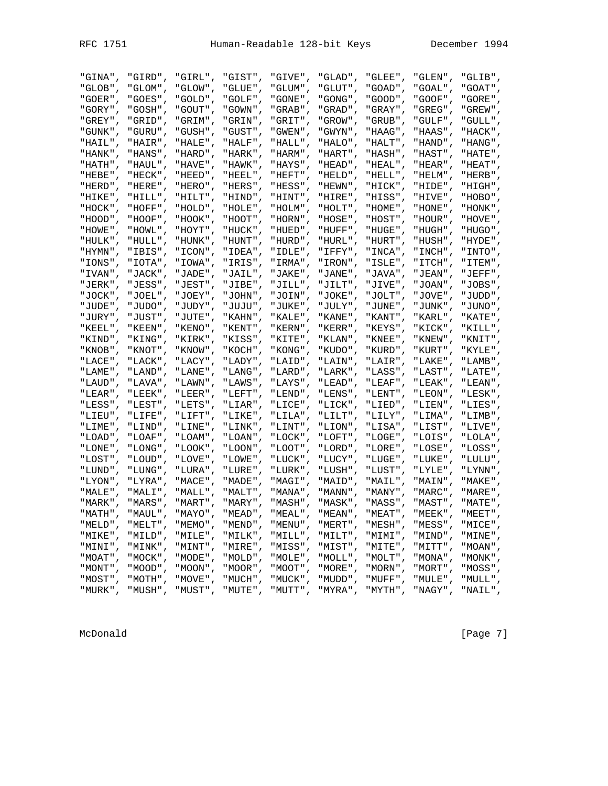| "GINA",     | "GIRD",    | "GIRL",  | "GIST",     | "GIVE",    | "GLAD",    | "GLEE",     | "GLEN",   | "GLIB".    |
|-------------|------------|----------|-------------|------------|------------|-------------|-----------|------------|
| "GLOB",     | "GLOM",    | "GLOW",  | "GLUE",     | "GLUM",    | "GLUT",    | "GOAD",     | "GOAL",   | "GOAT"     |
| " GOER " ,  | "GOES",    | "GOLD",  | "GOLF"      | " GONE " . | "GONG",    | "GOOD"      | "GOOF",   | "GORE" ,   |
| "GORY"      | "GOSH",    | "GOUT",  | "GOWN",     | " GRAB " , | , "GRAD" " | "GRAY",     | "GREG",   | "GREW"     |
| "GREY",     | "GRID",    | "GRIM",  | "GRIN",     | "GRIT",    | "GROW",    | "GRUB",     | "GULF",   | "GULL",    |
| "GUNK",     | "GURU",    | "GUSH",  | "GUST",     | "GWEN",    | "GWYN",    | "HAAG",     | "HAAS",   | "HACK",    |
| "HAIL",     | "HAIR",    | "HALE",  | "HALF",     | "HALL",    | "HALO",    | "HALT",     | "HAND",   | "HANG",    |
| , "HANK " " | "HANS",    | "HARD",  | "HARK",     | , "HARM" " | "HART",    | "HASH",     | "HAST",   | "HATE",    |
| "HATH",     | "HAUL",    | "HAVE",  | "HAWK",     | "HAYS",    | , "HEAD" " | "HEAL",     | "HEAR",   | "HEAT",    |
| "HEBE",     | "HECK",    | "HEED",  | $"HEEL"$ ,  | "HEFT",    | "HELD",    | "HELL",     | "HELM",   | "HERB" ,   |
| "HERD",     | "HERE",    | "HERO",  | "HERS",     | "HESS",    | "HEWN",    | "HICK",     | "HIDE",   | "HIGH",    |
| "HIKE",     | "HILL",    | "HILT",  | "HIND",     | "HINT",    | "HIRE",    | "HISS",     | "HIVE",   | "HOBO",    |
| , "HOCK" "  | "HOFF",    | "HOLD",  | "HOLE",     | "HOLM",    | "HOLT",    | "HOME",     | "HONE",   | " HONK " 」 |
| , "HOOD"    | , "HOOF" " | "HOOK",  | "HOOT",     | , "HORN" " | "HOSE",    | "HOST",     | "HOUR",   | , "HOVE" " |
| , "HOWE" "  | "HOWL",    | "HOYT",  | "HUCK",     | "HUED",    | "HUFF",    | "HUGE".     | "HUGH",   | " HUGO " 」 |
| " HULK " .  | "HULL",    | "HUNK",  | "HUNT",     | , "HURD" " | " HURL " 」 | "HURT",     | "HUSH",   | " HYDE "   |
| "HYMN",     | "IBIS",    | "ICON",  | "IDEA",     | "IDLE",    | "IFFY",    | "INCA",     | " INCH" , | " INTO" ,  |
| "IONS",     | "IOTA",    | "IOWA",  | "IRIS",     | "IRMA",    | " IRON" ,  | "ISLE",     | "ITCH",   | "ITEM",    |
| " IVAN" ,   | "JACK",    | "JADE",  | "JAIL",     | "JAKE",    | "JANE",    | "JAVA",     | "JEAN",   | "JEFF",    |
| "JERK",     | "JESS",    | "JEST",  | "JIBE",     | "JILL",    | "JILT",    | "JIVE",     | "JOAN",   | "JOBS",    |
| " JOCK " .  | "JOEL",    | "JOEY",  | , "JOHN" "  | "JOIN".    | "JOKE",    | "JOLT"      | "JOVE",   | , "JUDD" " |
| "JUDE",     | "JUDO",    | "JUDY",  | " טעטע "    | "JUKE",    | "JULY",    | "JUNE",     | "JUNK",   | " JUNO " . |
| "JURY",     | "JUST",    | "JUTE",  | "KAHN",     | "KALE",    | " KANE " , | "KANT",     | "KARL",   | "KATE",    |
| "KEEL",     | "KEEN",    | "KENO",  | "KENT",     | "KERN",    | "KERR",    | "KEYS",     | "KICK",   | "KILL",    |
| "KIND",     | "KING",    | "KIRK",  | "KISS",     | "KITE",    | " KLAN" ,  | "KNEE",     | "KNEW",   | "KNIT",    |
| " KNOB " ,  | " KNOT" ,  | "KNOW",  | "KOCH",     | "KONG",    | "KUDO",    | "KURD",     | "KURT",   | "KYLE",    |
| "LACE",     | " LACK " , | "LACY",  | "LADY",     | , "LAID" " | "LAIN",    | "LAIR",     | "LAKE",   | , "LAMB" " |
| " LAME "    | "LAND",    | "LANE",  | "LANG",     | , "LARD" " | , "LARK" " | "LASS"      | "LAST",   | " LATE "   |
| " LAUD" ,   | "LAVA",    | "LAWN",  | "LAWS",     | "LAYS",    | "LEAD",    | " $LEAF"$ , | "LEAK",   | "LEAN",    |
| "LEAR",     | "LEEK",    | "LEER",  | "LEFT",     | "LEND",    | "LENS",    | "LENT",     | "LEON",   | "LESK",    |
| "LESS",     | "LEST",    | "LETS",  | " $LIAR"$ , | "LICE",    | "LICK",    | "LIED",     | "LIEN",   | "LIES",    |
| "LIEU",     | "LIFE",    | "LIFT",  | "LIKE",     | "LILA",    | "LILT",    | "LILY",     | "LIMA",   | "LIMB",    |
| "LIME",     | , "LIND" " | "LINE",  | "LINK",     | "LINT",    | , "LION" " | "LISA",     | "LIST",   | "LIVE",    |
| , "LOAD" "  | "LOAF",    | "LOAM",  | "LOAN",     | "LOCK",    | "LOFT",    | "LOGE",     | "LOIS",   | "LOLA"     |
| "LONE",     | "LONG",    | "LOOK",  | "LOON",     | "LOOT",    | , "LORD" " | "LORE",     | "LOSE",   | "LOSS",    |
| "LOST",     | "LOUD",    | "LOVE",  | "LOWE",     | "LUCK",    | "LUCY",    | "LUGE",     | "LUKE",   | "LULU",    |
| "LUND",     | "LUNG",    | "LURA",  | "LURE",     | "LURK",    | "LUSH",    | "LUST",     | "LYLE",   | "LYNN"     |
| " LYON" ,   | "LYRA",    | "MACE",  | "MADE",     | "MAGI",    | "MAID",    | , "MAIL"    | "MAIN",   | " MAKE " , |
| , "MALE" "  | "MALI",    | "MALL"   | "MALT"      | " MANA " . | " MANN " . | " MANY "    | "MARC",   | "MARE"     |
| " MARK "    | "MARS"     | "MART" , | , "MARY" "  | "MASH",    | "MASK"     | "MASS"      | "MAST",   | " MATE "   |
| " MATH "    | " MAUL "   | " MAYO " | " MEAD "    | " MEAL "   | " MEAN "   | " MEAT "    | " MEEK "  | " MEET "   |
| "MELD",     | "MELT",    | "MEMO",  | "MEND",     | "MENU",    | "MERT",    | "MESH",     | "MESS",   | "MICE",    |
| "MIKE",     | "MILD",    | "MILE",  | "MILK",     | , "NILL" " | "MILT",    | "MIMI",     | "MIND",   | "MINE",    |
| "MINI",     | "MINK",    | "MINT",  | "MIRE",     | "MISS",    | "MIST",    | "MITE",     | "MITT",   | "MOAN",    |
| , "MOAT" "  | "MOCK",    | "MODE",  | , "MOLD",   | "MOLE",    | "MOLL",    | "MOLT",     | "MONA",   | "MONK",    |
| "MONT"      | , "MOOD" " | "MOON",  | , "MOOR" "  | "MOOT",    | "MORE",    | , "MORN" "  | "MORT",   | "MOSS",    |
| "MOST",     | "MOTH",    | "MOVE",  | "MUCH",     | "MUCK",    | "MUDD",    | "MUFF",     | "MULE",   | "MULL",    |
| "MURK",     | "MUSH",    | "MUST",  | "MUTE",     | "MUTT",    | "MYRA",    | "MYTH",     | "NAGY",   | "NAIL",    |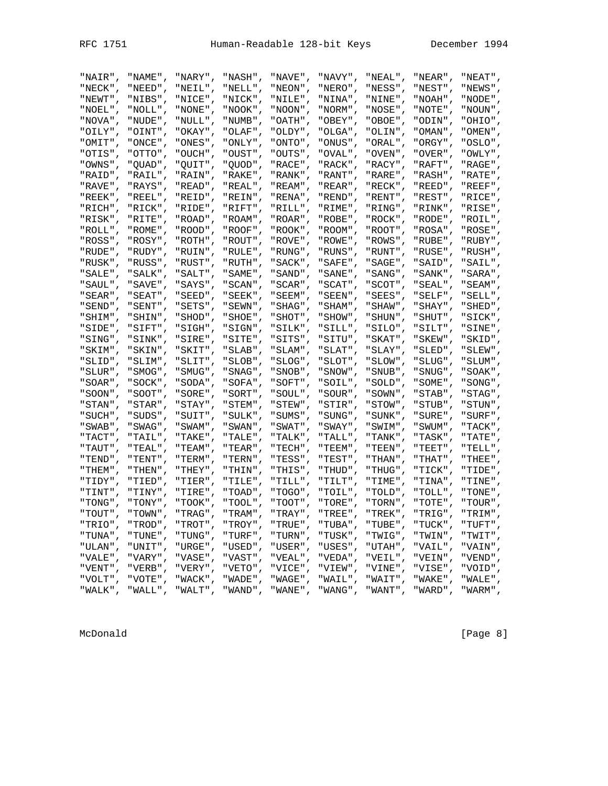| c<br>H<br>⊸ |
|-------------|
|-------------|

| "NAIR",    | "NAME",    | "NARY",      | "NASH",    | "NAVE",     | "NAVY",     | "NEAL",    | "NEAR",    | "NEAT",    |
|------------|------------|--------------|------------|-------------|-------------|------------|------------|------------|
| "NECK",    | "NEED",    | "NEIL",      | "NELL",    | "NEON",     | "NERO",     | "NESS",    | "NEST",    | "NEWS",    |
| "NEWT",    | "NIBS",    | "NICE",      | "NICK",    | , "NILE" "  | , "NINA"    | "NINE",    | "NOAH",    | " NODE "   |
| , "NOEL" " | "NOLL"     | "NONE",      | "NOOK "    | " NOON "    | "NORM"      | "NOSE",    | " NOTE " , | " NOUN "   |
| "NOVA",    | "NUDE",    | "NULL",      | "NUMB",    | "OATH",     | "OBEY",     | "OBOE",    | "ODIN",    | "OHIO",    |
| "OILY",    | "OINT",    | "OKAY",      | "OLAF",    | "OLDY",     | "OLGA",     | "OLIN",    | "OMAN",    | " OMEN" ,  |
|            |            |              |            |             |             |            |            |            |
| "OMIT",    | "ONCE",    | "ONES",      | "ONLY",    | "ONTO",     | "ONUS",     | "ORAL",    | "ORGY",    | "OSLO",    |
| "OTIS",    | "OTTO",    | "OUCH",      | "OUST",    | "OUTS",     | "OVAL",     | "OVEN",    | "OVER",    | "OWLY",    |
| "OWNS",    | "QUAD",    | "QUIT",      | " QUOD" ,  | " RACE " ,  | "RACK",     | "RACY",    | "RAFT",    | " RAGE " , |
| "RAID".    | "RAIL".    | "RAIN",      | "RAKE"     | " RANK "    | "RANT"      | "RARE",    | "RASH",    | " RATE " . |
| "RAVE",    | "RAYS",    | "READ",      | "REAL",    | "REAM",     | "REAR",     | "RECK",    | "REED",    | "REEF".    |
| "REEK",    | "REEL",    | "REID",      | "REIN",    | "RENA",     | "REND",     | "RENT",    | "REST",    | "RICE",    |
| "RICH",    | "RICK",    | "RIDE",      | "RIFT",    | "RILL",     | "RIME",     | "RING",    | "RINK",    | "RISE",    |
| "RISK",    | "RITE",    | "ROAD",      | "ROAM",    | "ROAR",     | "ROBE",     | "ROCK",    | "RODE",    | "ROIL",    |
| "ROLL",    | "ROME",    | "ROOD",      | "ROOF",    | , "ROOK" "  | , "ROOM" "  | "ROOT",    | "ROSA",    | " ROSE " , |
| "ROSS".    | "ROSY"     | "ROTH",      | "ROUT"     | " ROVE "    | "ROWE"      | "ROWS",    | "RUBE",    | "RUBY"     |
| "RUDE",    | "RUDY",    | "RUIN",      | "RULE",    | "RUNG",     | "RUNS",     | "RUNT",    | "RUSE",    | "RUSH".    |
| "RUSK",    | "RUSS",    | "RUST",      | "RUTH",    | " SACK " ,  | " SAFE" ,   | "SAGE",    | "SAID",    | "SAIL",    |
| "SALE",    | "SALK",    | "SALT",      | "SAME",    | " SAND" ,   | " SANE " ,  | "SANG",    | " SANK " , | " SARA" ,  |
| " SAUL" ,  | "SAVE",    | "SAYS",      | "SCAN",    | "SCAR",     | "SCAT",     | "SCOT",    | "SEAL",    | "SEAM",    |
| " SEAR " , | "SEAT",    | $"SEED"$ ,   | "SEEK",    | " SEEM" ,   | "SEEN",     | "SEES",    | "SELF",    |            |
|            |            |              |            |             |             |            |            | "SELL",    |
| " SEND " , | " SENT "   | "SETS",      | "SEWN"     | " SHAG "    | " SHAM" ,   | " SHAW" ,  | " SHAY "   | " SHED "   |
| "SHIM",    | "SHIN",    | "SHOD",      | "SHOE",    | "SHOT",     | "SHOW",     | " SHUN" ,  | "SHUT",    | "SICK".    |
| "SIDE",    | "SIFT",    | "SIGH",      | "SIGN",    | "SILK",     | "SILL",     | "SILO",    | "SILT",    | "SINE",    |
| "SING",    | "SINK",    | "SIRE",      | "SITE",    | "SITS",     | "SITU",     | "SKAT",    | "SKEW",    | "SKID",    |
| "SKIM",    | "SKIN",    | "SKIT",      | "SLAB",    | "SLAM",     | "SLAT",     | "SLAY",    | "SLED",    | "SLEW",    |
| "SLID",    | "SLIM",    | "SLIT",      | "SLOB",    | "SLOG",     | "SLOT",     | "SLOW",    | "SLUG",    | , "SLUM" " |
| , "SLUR" " | " SMOG" .  | " SMUG" ,    | " SNAG",   | " SNOB "    | " SNOW" .   | " SNUB " , | " SNUG" ,  | " SOAK " 」 |
| " SOAR " , | "SOCK",    | "SODA",      | "SOFA",    | "SOFT",     | "SOIL",     | "SOLD",    | "SOME",    | " SONG" ,  |
| , "SOON" " | "SOOT",    | "SORE",      | "SORT",    | " SOUL" ,   | , "SOUR " " | "SOWN",    | "STAB",    | " STAG" ,  |
| " STAN" ,  | "STAR",    | "STAY",      | "STEM",    | "STEW",     | "STIR",     | "STOW",    | "STUB",    | " STUN" ,  |
| "SUCH",    | "SUDS",    | "SUIT",      | "SULK",    | "SUMS",     | "SUNG",     | "SUNK",    | "SURE",    | "SURF",    |
| "SWAB",    | "SWAG",    | " SWAM" ,    | " SWAN" ,  | "SWAT",     | "SWAY",     | "SWIM",    | "SWUM",    | " TACK " , |
| " TACT "   | "TAIL"     | "TAKE",      | " TALE "   | " TALK "    | " TALL "    | " TANK " , | " TASK "   | " TATE "   |
| "TAUT",    | "TEAL",    | "TEAM",      | "TEAR",    | "TECH",     | "TEEM",     | "TEEN",    | "TEET",    | " TELL" ,  |
| "TEND".    | "TENT",    | "TERM",      | " TERN " . | "TESS",     | "TEST",     | " THAN" ,  | " THAT" ,  | " THEE " , |
| " THEM" ,  | "THEN",    | "THEY",      | " THIN" ,  | "THIS",     | "THUD",     | "THUG",    | "TICK",    | "TIDE",    |
| "TIDY",    | "TIED",    | "TIER",      | "TILE",    | "TILL",     | "TILT",     | "TIME",    | "TINA",    | "TINE",    |
| " TINT"    | "TINY",    | "TIRE",      | , "TOAD" " | , " TOGO" י | , "TOIL" "  | , "TOLD" " | "TOLL",    | " TONE " . |
| " TONG " 」 |            | , " TOOK " " | " TOOL" J  | " TOOT " ,  | " TORE " 」  |            |            | , "TOUR" " |
|            | , "TONY" " |              |            |             |             | , "TORN" " | " TOTE " , |            |
| , "TOUT" " | "TOWN",    | " TRAG" ,    | , "TRAM" " | " TRAY "    | , "TREE" "  | "TREK",    | "TRIG",    | "TRIM",    |
| "TRIO",    | "TROD",    | " TROT " ,   | "TROY",    | " TRUE " ,  | "TUBA",     | "TUBE",    | "TUCK",    | "TUFT",    |
| "TUNA",    | "TUNE",    | "TUNG",      | "TURF",    | "TURN",     | "TUSK",     | "TWIG",    | "TWIN",    | "TWIT",    |
| "ULAN",    | "UNIT",    | "URGE",      | "USED",    | "USER",     | "USES",     | "UTAH",    | "VAIL",    | "VAIN",    |
| "VALE",    | "VARY",    | "VASE",      | "VAST",    | "VEAL",     | "VEDA",     | "VEIL",    | "VEIN",    | "VEND",    |
| " VENT "   | "VERB",    | "VERY",      | " VETO "   | "VICE",     | "VIEW",     | "VINE"     | "VISE",    | "VOID",    |
| "VOLT",    | "VOTE",    | "WACK",      | "WADE",    | "WAGE",     | "WAIL",     | "WAIT",    | "WAKE",    | "WALE",    |
| "WALK",    | "WALL",    | "WALT",      | "WAND"     | "WANE",     | "WANG",     | "WANT",    | "WARD",    | "WARM",    |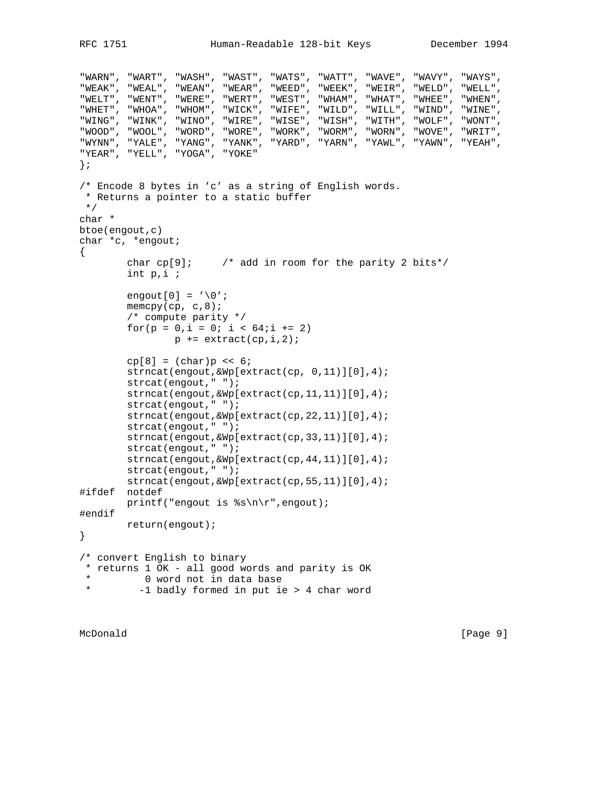```
"WARN", "WART", "WASH", "WAST", "WATS", "WATT", "WAVE", "WAVY", "WAYS",
"WEAK", "WEAL", "WEAN", "WEAR", "WEED", "WEEK", "WEIR", "WELD", "WELL",
"WELT", "WENT", "WERE", "WERT", "WEST", "WHAM", "WHAT", "WHEE", "WHEN",
"WHET", "WHOA", "WHOM", "WICK", "WIFE", "WILD", "WILL", "WIND", "WINE",
"WING", "WINK", "WINO", "WIRE", "WISE", "WISH", "WITH", "WOLF", "WONT",
"WOOD", "WOOL", "WORD", "WORE", "WORK", "WORM", "WORN", "WOVE", "WRIT",
"WYNN", "YALE", "YANG", "YANK", "YARD", "YARN", "YAWL", "YAWN", "YEAH",
"YEAR", "YELL", "YOGA", "YOKE"
};
/* Encode 8 bytes in 'c' as a string of English words.
 * Returns a pointer to a static buffer
 */
char *
btoe(engout,c)
char *c, *engout;
{
        char cp[9]; \prime add in room for the parity 2 bits*/
         int p,i ;
        engout[0] = \sqrt{0'i}memcpy(cp, c, 8);
         /* compute parity */
        for(p = 0,i = 0; i < 64;i \neq 2)
                p += extract(cp,i,2);
        cp[8] = (char)p \leq 6; strncat(engout,&Wp[extract(cp, 0,11)][0],4);
         strcat(engout," ");
         strncat(engout,&Wp[extract(cp,11,11)][0],4);
         strcat(engout," ");
         strncat(engout,&Wp[extract(cp,22,11)][0],4);
         strcat(engout," ");
         strncat(engout,&Wp[extract(cp,33,11)][0],4);
         strcat(engout," ");
         strncat(engout,&Wp[extract(cp,44,11)][0],4);
         strcat(engout," ");
         strncat(engout,&Wp[extract(cp,55,11)][0],4);
#ifdef notdef
        printf("engout is s\n\r", engout);
#endif
        return(engout);
}
/* convert English to binary
 * returns 1 OK - all good words and parity is OK
  * 0 word not in data base
          -1 badly formed in put ie > 4 char word
```

```
McDonald [Page 9]
```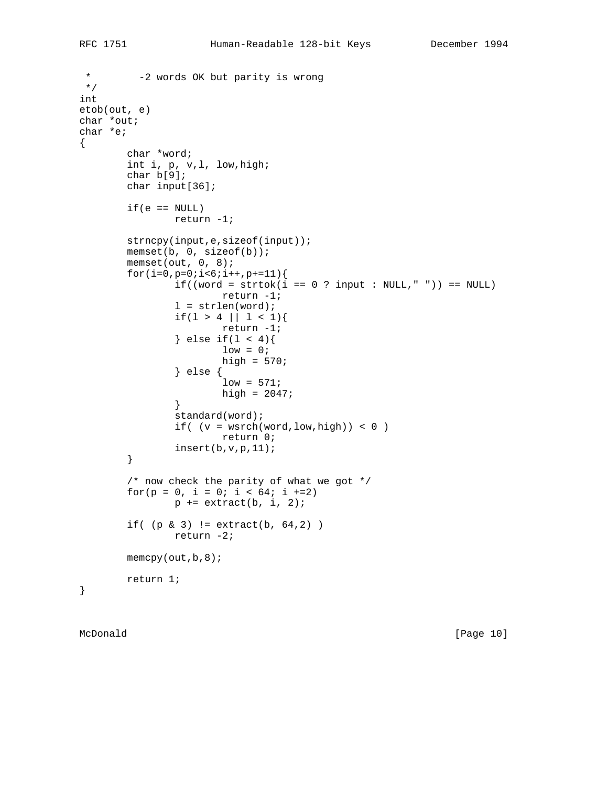```
 * -2 words OK but parity is wrong
 */
int
etob(out, e)
char *out;
char *e;
{
        char *word;
         int i, p, v,l, low,high;
         char b[9];
        char input[36];
        if(e == NULL) return -1;
        strncpy(input,e,sizeof(input));
        memset(b, 0, sizeof(b));
        memset(out, 0, 8);
       for(i=0,p=0;i<6;i++,p+=11){
                if((word = strtok(i == 0 ? input : NULL, "")) == NULL) return -1;
                l = strlen(word);if(1 > 4 | | 1 < 1){
                        return -1;
                } else if(1 < 4){
                        low = 0;high = 570;
                 } else {
                        low = 571;high = 2047;
 }
                 standard(word);
                if( (v = wsrch(word, low, high)) < 0 ) return 0;
                 insert(b,v,p,11);
         }
         /* now check the parity of what we got */
        for(p = 0, i = 0; i < 64; i +=2)
                p += extract(b, i, 2);
        if( (p \& 3) != extract(b, 64, 2) )
                return -2;
       memory(out, b, 8); return 1;
}
```
McDonald [Page 10]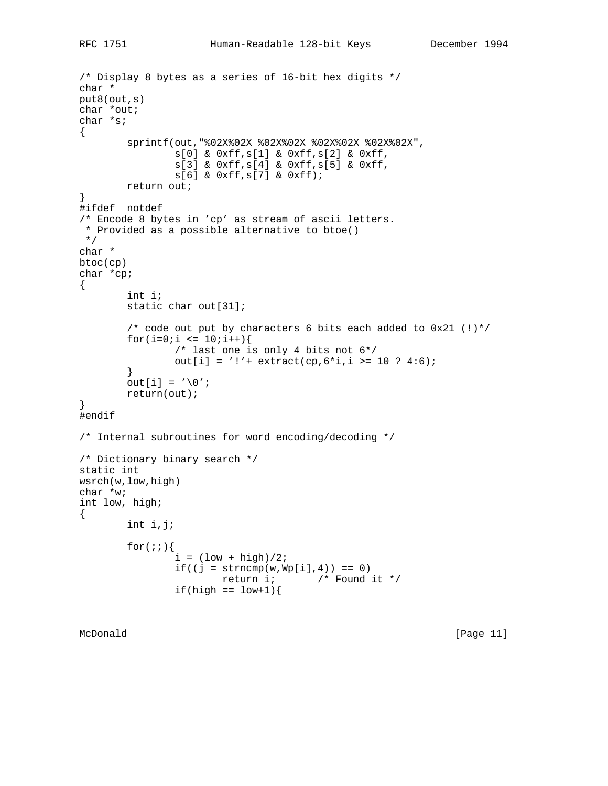```
/* Display 8 bytes as a series of 16-bit hex digits */
char *
put8(out,s)
char *out;
char *s;
{
         sprintf(out,"%02X%02X %02X%02X %02X%02X %02X%02X",
                 s[0] & 0xff,s[1] & 0xff,s[2] & 0xff,
                 s[3] & 0xff,s[4] & 0xff,s[5] & 0xff,
                 s[6] & 0xff,s[7] & 0xff);
         return out;
}
#ifdef notdef
/* Encode 8 bytes in 'cp' as stream of ascii letters.
 * Provided as a possible alternative to btoe()
 */
char *
btoc(cp)
char *cp;
{
         int i;
         static char out[31];
        /* code out put by characters 6 bits each added to 0x21 (!)*/
        for(i=0;i <= 10;i++){
                 /* last one is only 4 bits not 6*/
                out[i] = '!'+ extract(cp, 6*i, i >= 10 ? 4:6);
         }
        out[i] = '\\0'i return(out);
}
#endif
/* Internal subroutines for word encoding/decoding */
/* Dictionary binary search */
static int
wsrch(w,low,high)
char *w;
int low, high;
{
         int i,j;
        for(;;)\{i = (\text{low} + \text{high})/2;if((j = strncmp(w, Wp[i], 4)) == 0) return i; /* Found it */
                if(high == low+1)
```
McDonald [Page 11]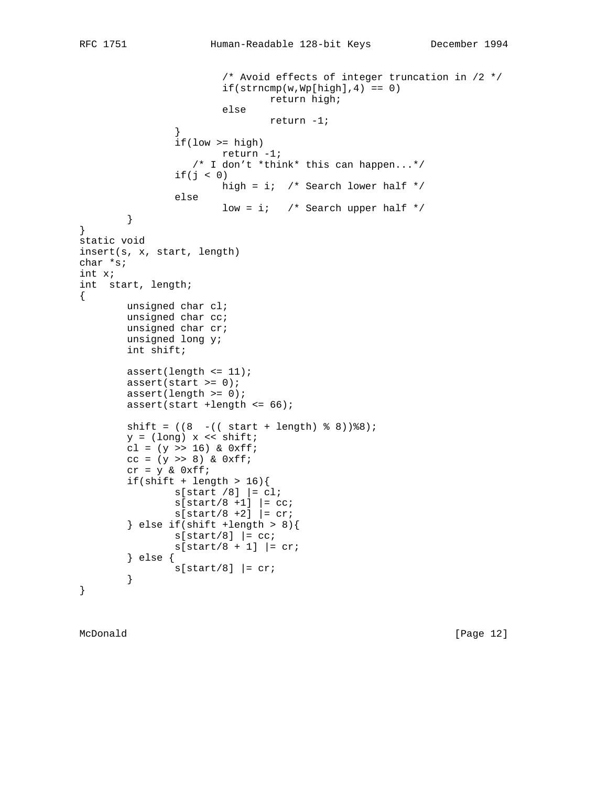```
 /* Avoid effects of integer truncation in /2 */
                        if(\text{stromp}(w, Wp[high], 4) == 0) return high;
                         else
                                 return -1;
 }
                if(low >= high) return -1;
                    /* I don't *think* this can happen...*/
                if(j < 0) high = i; /* Search lower half */
                 else
                        low = i; /* Search upper half */ }
}
static void
insert(s, x, start, length)
char *s;
int x;
int start, length;
{
         unsigned char cl;
         unsigned char cc;
         unsigned char cr;
         unsigned long y;
         int shift;
         assert(length <= 11);
        assert(start >= 0);
        assert(length >= 0); assert(start +length <= 66);
        shift = ((8 - ((start + length) % 8))%y = (long) x \iff shift;
        cl = (y \gg 16) & 0xff;cc = (y \gg 8) & 0xff;cr = y & 0xff;if(shift + length > 16){
                s[start / 8] |= cl;
                s[start/8 +1] = cc;
                s[start/8 + 2] = cr;
         } else if(shift +length > 8){
                s[start/8] |= cc;
                s[start/8 + 1] = cr;
         } else {
                s[start/8] |= cr;
         }
}
```
McDonald [Page 12]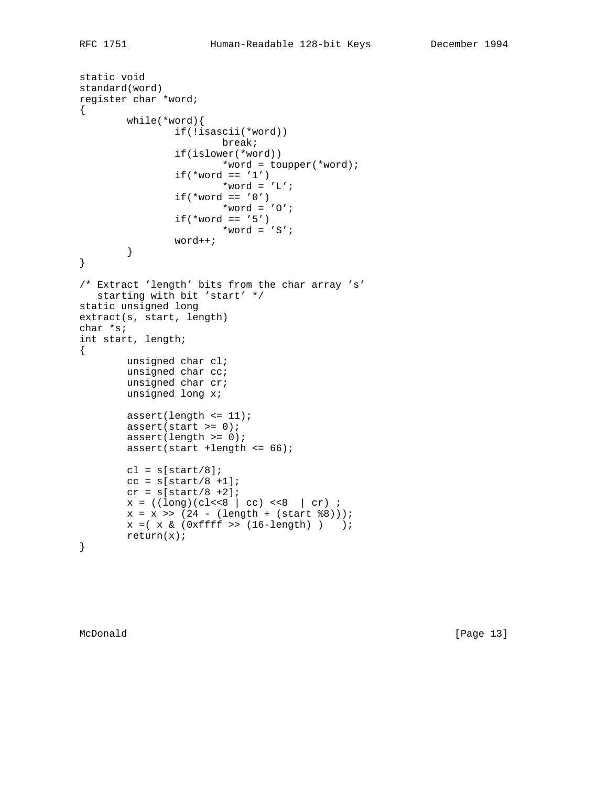```
static void
standard(word)
register char *word;
{
         while(*word){
                  if(!isascii(*word))
                          break;
                  if(islower(*word))
                          *word = toupper(*word);
                 if('word == '1')*word = 'L';
                 if(*word == '0')
                        *word = '0';
                 if('word == '5')*word = 'S';
                  word++;
         }
}
/* Extract 'length' bits from the char array 's'
   starting with bit 'start' */
static unsigned long
extract(s, start, length)
char *s;
int start, length;
{
         unsigned char cl;
         unsigned char cc;
         unsigned char cr;
         unsigned long x;
        assert(length \leq 11);
        assert(start >= 0);
        assert(length >= 0);
         assert(start +length <= 66);
        cl = s[start/8];
        cc = s[start/8 +1];cr = s[start/8 +2];x = ((\text{long})(\text{cl}<<8 | \text{cc}) <<8 | \text{cr}) ;x = x \gg (24 - (length + (start \, \$8))))x = ( x \& (0xfftf) > (16-length) ) return(x);
}
```
McDonald [Page 13]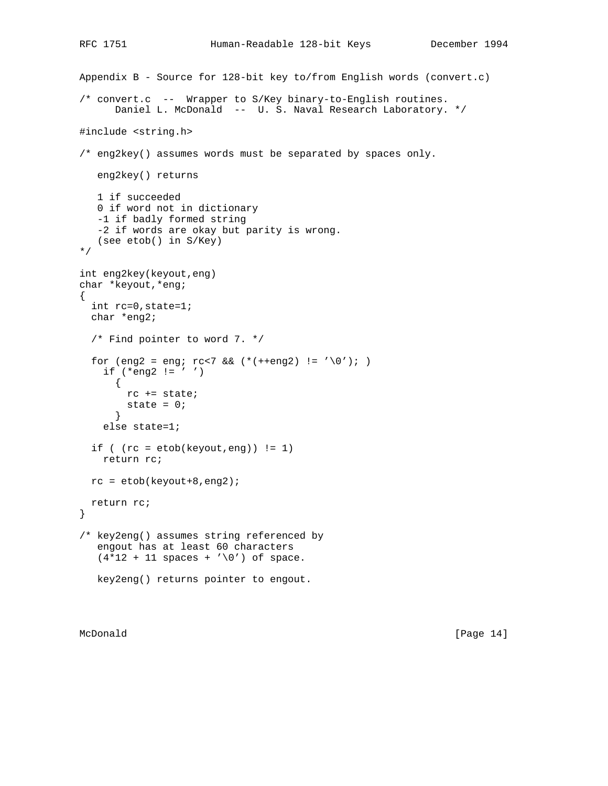```
Appendix B - Source for 128-bit key to/from English words (convert.c)
/* convert.c -- Wrapper to S/Key binary-to-English routines.
       Daniel L. McDonald -- U. S. Naval Research Laboratory. */
#include <string.h>
/* eng2key() assumes words must be separated by spaces only.
    eng2key() returns
    1 if succeeded
    0 if word not in dictionary
    -1 if badly formed string
    -2 if words are okay but parity is wrong.
    (see etob() in S/Key)
*/
int eng2key(keyout,eng)
char *keyout,*eng;
{
  int rc=0,state=1;
  char *eng2;
   /* Find pointer to word 7. */
  for (eng2 = eng; rc < 7 & (*(++eng2) != '\0'); )
    if (*eng2 != ' '')\left\{ \right. rc += state;
        state = 0;
       }
     else state=1;
  if ( (rc = etob(keyout,eng) ) != 1) return rc;
 rc = etob(keyout+8, eng2); return rc;
}
/* key2eng() assumes string referenced by
    engout has at least 60 characters
   (4*12 + 11 spaces + '\0') of space.
    key2eng() returns pointer to engout.
```